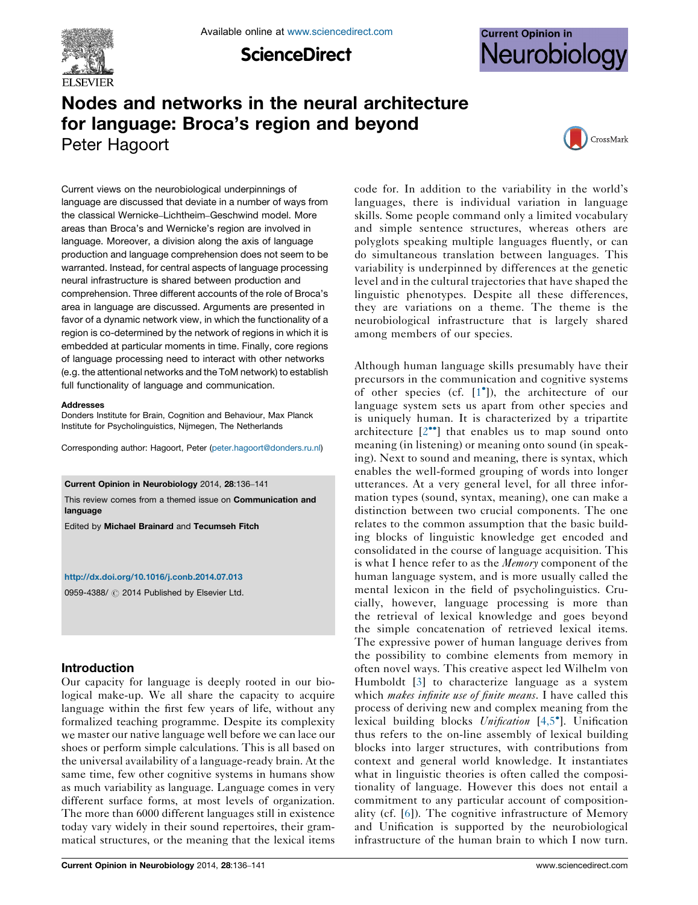

**ScienceDirect** 



# Nodes and networks in the neural architecture for language: Broca's region and beyond Peter Hagoort



Current views on the neurobiological underpinnings of language are discussed that deviate in a number of ways from the classical Wernicke–Lichtheim–Geschwind model. More areas than Broca's and Wernicke's region are involved in language. Moreover, a division along the axis of language production and language comprehension does not seem to be warranted. Instead, for central aspects of language processing neural infrastructure is shared between production and comprehension. Three different accounts of the role of Broca's area in language are discussed. Arguments are presented in favor of a dynamic network view, in which the functionality of a region is co-determined by the network of regions in which it is embedded at particular moments in time. Finally, core regions of language processing need to interact with other networks (e.g. the attentional networks and the ToM network) to establish full functionality of language and communication.

#### **Addresses**

Donders Institute for Brain, Cognition and Behaviour, Max Planck Institute for Psycholinguistics, Nijmegen, The Netherlands

Corresponding author: Hagoort, Peter [\(peter.hagoort@donders.ru.nl\)](peter.hagoort@donders.ru.nl)

#### Current Opinion in Neurobiology 2014, 28:136–141

This review comes from a themed issue on Communication and language

Edited by Michael Brainard and Tecumseh Fitch

#### <http://dx.doi.org/10.1016/j.conb.2014.07.013>

0959-4388/ C 2014 Published by Elsevier Ltd.

# Introduction

Our capacity for language is deeply rooted in our biological make-up. We all share the capacity to acquire language within the first few years of life, without any formalized teaching programme. Despite its complexity we master our native language well before we can lace our shoes or perform simple calculations. This is all based on the universal availability of a language-ready brain. At the same time, few other cognitive systems in humans show as much variability as language. Language comes in very different surface forms, at most levels of organization. The more than 6000 different languages still in existence today vary widely in their sound repertoires, their grammatical structures, or the meaning that the lexical items

code for. In addition to the variability in the world's languages, there is individual variation in language skills. Some people command only a limited vocabulary and simple sentence structures, whereas others are polyglots speaking multiple languages fluently, or can do simultaneous translation between languages. This variability is underpinned by differences at the genetic level and in the cultural trajectories that have shaped the linguistic phenotypes. Despite all these differences, they are variations on a theme. The theme is the neurobiological infrastructure that is largely shared among members of our species.

Although human language skills presumably have their precursors in the communication and cognitive systems of other species (cf.  $[1^{\bullet}]$  $[1^{\bullet}]$  $[1^{\bullet}]$ ), the architecture of our language system sets us apart from other species and is uniquely human. It is characterized by a tripartite architecture [[2](#page-4-0)<sup>••</sup>] that enables us to map sound onto meaning (in listening) or meaning onto sound (in speaking). Next to sound and meaning, there is syntax, which enables the well-formed grouping of words into longer utterances. At a very general level, for all three information types (sound, syntax, meaning), one can make a distinction between two crucial components. The one relates to the common assumption that the basic building blocks of linguistic knowledge get encoded and consolidated in the course of language acquisition. This is what I hence refer to as the Memory component of the human language system, and is more usually called the mental lexicon in the field of psycholinguistics. Crucially, however, language processing is more than the retrieval of lexical knowledge and goes beyond the simple concatenation of retrieved lexical items. The expressive power of human language derives from the possibility to combine elements from memory in often novel ways. This creative aspect led Wilhelm von Humboldt [[3\]](#page-4-0) to characterize language as a system which *makes infinite use of finite means*. I have called this process of deriving new and complex meaning from the lexical building blocks Unification [[4,5](#page-4-0)°]. Unification thus refers to the on-line assembly of lexical building blocks into larger structures, with contributions from context and general world knowledge. It instantiates what in linguistic theories is often called the compositionality of language. However this does not entail a commitment to any particular account of compositionality (cf. [\[6](#page-4-0)]). The cognitive infrastructure of Memory and Unification is supported by the neurobiological infrastructure of the human brain to which I now turn.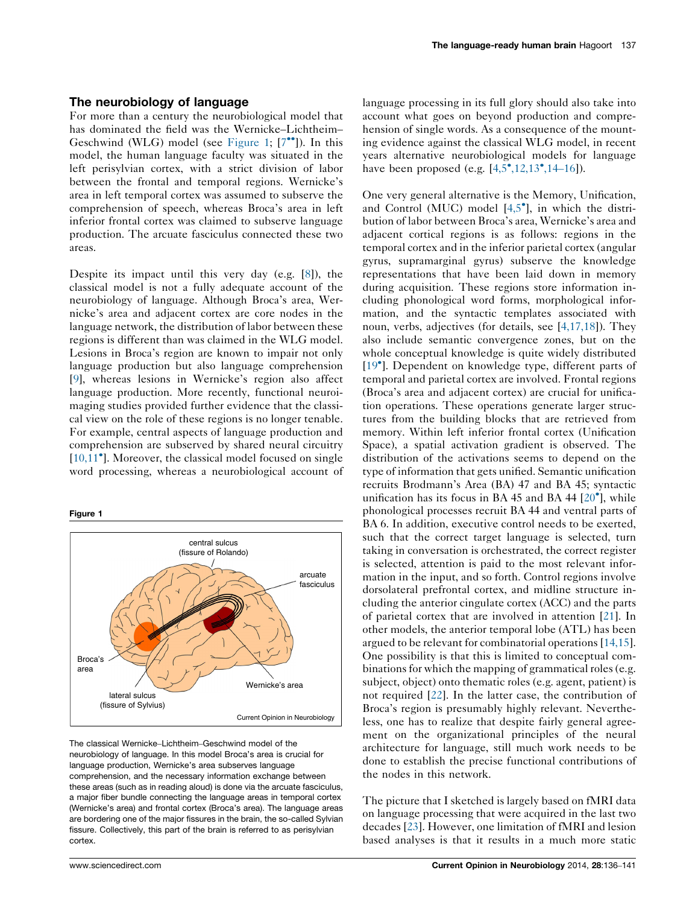### The neurobiology of language

For more than a century the neurobiological model that has dominated the field was the Wernicke–Lichtheim– Geschwind (WLG) model (see Figure 1;  $[7^{\bullet\bullet}]$  $[7^{\bullet\bullet}]$  $[7^{\bullet\bullet}]$ ). In this model, the human language faculty was situated in the left perisylvian cortex, with a strict division of labor between the frontal and temporal regions. Wernicke's area in left temporal cortex was assumed to subserve the comprehension of speech, whereas Broca's area in left inferior frontal cortex was claimed to subserve language production. The arcuate fasciculus connected these two areas.

Despite its impact until this very day (e.g. [[8\]](#page-4-0)), the classical model is not a fully adequate account of the neurobiology of language. Although Broca's area, Wernicke's area and adjacent cortex are core nodes in the language network, the distribution of labor between these regions is different than was claimed in the WLG model. Lesions in Broca's region are known to impair not only language production but also language comprehension [\[9](#page-4-0)], whereas lesions in Wernicke's region also affect language production. More recently, functional neuroimaging studies provided further evidence that the classical view on the role of these regions is no longer tenable. For example, central aspects of language production and comprehension are subserved by shared neural circuitry [\[10,11](#page-4-0)<sup>°</sup>]. Moreover, the classical model focused on single word processing, whereas a neurobiological account of





The classical Wernicke–Lichtheim–Geschwind model of the neurobiology of language. In this model Broca's area is crucial for language production, Wernicke's area subserves language comprehension, and the necessary information exchange between these areas (such as in reading aloud) is done via the arcuate fasciculus, a major fiber bundle connecting the language areas in temporal cortex (Wernicke's area) and frontal cortex (Broca's area). The language areas are bordering one of the major fissures in the brain, the so-called Sylvian fissure. Collectively, this part of the brain is referred to as perisylvian cortex.

language processing in its full glory should also take into account what goes on beyond production and comprehension of single words. As a consequence of the mounting evidence against the classical WLG model, in recent years alternative neurobiological models for language have been proposed (e.g.  $[4,5^{\bullet},12,13^{\bullet},14-16]$  $[4,5^{\bullet},12,13^{\bullet},14-16]$  $[4,5^{\bullet},12,13^{\bullet},14-16]$  $[4,5^{\bullet},12,13^{\bullet},14-16]$  $[4,5^{\bullet},12,13^{\bullet},14-16]$  $[4,5^{\bullet},12,13^{\bullet},14-16]$  $[4,5^{\bullet},12,13^{\bullet},14-16]$ ).

One very general alternative is the Memory, Unification, and Control (MUC) model  $[4,5^{\circ}]$  $[4,5^{\circ}]$ , in which the distribution of labor between Broca's area, Wernicke's area and adjacent cortical regions is as follows: regions in the temporal cortex and in the inferior parietal cortex (angular gyrus, supramarginal gyrus) subserve the knowledge representations that have been laid down in memory during acquisition. These regions store information including phonological word forms, morphological information, and the syntactic templates associated with noun, verbs, adjectives (for details, see [[4,17,18\]](#page-4-0)). They also include semantic convergence zones, but on the whole conceptual knowledge is quite widely distributed [[19](#page-4-0)<sup>°</sup>]. Dependent on knowledge type, different parts of temporal and parietal cortex are involved. Frontal regions (Broca's area and adjacent cortex) are crucial for unification operations. These operations generate larger structures from the building blocks that are retrieved from memory. Within left inferior frontal cortex (Unification Space), a spatial activation gradient is observed. The distribution of the activations seems to depend on the type of information that gets unified. Semantic unification recruits Brodmann's Area (BA) 47 and BA 45; syntactic unification has its focus in BA 45 and BA 44  $[20^{\circ}]$  $[20^{\circ}]$  $[20^{\circ}]$ , while phonological processes recruit BA 44 and ventral parts of BA 6. In addition, executive control needs to be exerted, such that the correct target language is selected, turn taking in conversation is orchestrated, the correct register is selected, attention is paid to the most relevant information in the input, and so forth. Control regions involve dorsolateral prefrontal cortex, and midline structure including the anterior cingulate cortex (ACC) and the parts of parietal cortex that are involved in attention [[21\]](#page-4-0). In other models, the anterior temporal lobe (ATL) has been argued to be relevant for combinatorial operations[\[14,15\]](#page-4-0). One possibility is that this is limited to conceptual combinations for which the mapping of grammatical roles(e.g. subject, object) onto thematic roles (e.g. agent, patient) is not required [\[22](#page-4-0)]. In the latter case, the contribution of Broca's region is presumably highly relevant. Nevertheless, one has to realize that despite fairly general agreement on the organizational principles of the neural architecture for language, still much work needs to be done to establish the precise functional contributions of the nodes in this network.

The picture that I sketched is largely based on fMRI data on language processing that were acquired in the last two decades [\[23](#page-4-0)]. However, one limitation of fMRI and lesion based analyses is that it results in a much more static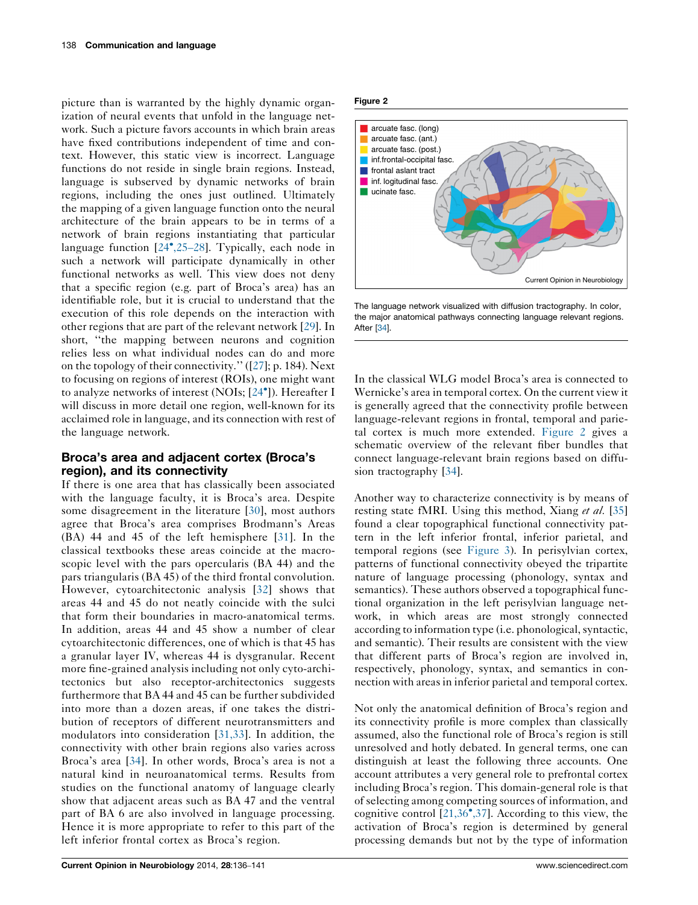picture than is warranted by the highly dynamic organization of neural events that unfold in the language network. Such a picture favors accounts in which brain areas have fixed contributions independent of time and context. However, this static view is incorrect. Language functions do not reside in single brain regions. Instead, language is subserved by dynamic networks of brain regions, including the ones just outlined. Ultimately the mapping of a given language function onto the neural architecture of the brain appears to be in terms of a network of brain regions instantiating that particular language function [[24](#page-4-0)°[,25](#page-4-0)-28]. Typically, each node in such a network will participate dynamically in other functional networks as well. This view does not deny that a specific region (e.g. part of Broca's area) has an identifiable role, but it is crucial to understand that the execution of this role depends on the interaction with other regions that are part of the relevant network [[29\]](#page-5-0). In short, ''the mapping between neurons and cognition relies less on what individual nodes can do and more on the topology of their connectivity.'' ([[27\]](#page-5-0); p. 184). Next to focusing on regions of interest (ROIs), one might want to analyze networks of interest (NOIs; [\[24](#page-4-0)<sup>°</sup>]). Hereafter I will discuss in more detail one region, well-known for its acclaimed role in language, and its connection with rest of the language network.

## Broca's area and adjacent cortex (Broca's region), and its connectivity

If there is one area that has classically been associated with the language faculty, it is Broca's area. Despite some disagreement in the literature [\[30\]](#page-5-0), most authors agree that Broca's area comprises Brodmann's Areas (BA) 44 and 45 of the left hemisphere [[31](#page-5-0)]. In the classical textbooks these areas coincide at the macroscopic level with the pars opercularis (BA 44) and the pars triangularis (BA 45) of the third frontal convolution. However, cytoarchitectonic analysis [\[32\]](#page-5-0) shows that areas 44 and 45 do not neatly coincide with the sulci that form their boundaries in macro-anatomical terms. In addition, areas 44 and 45 show a number of clear cytoarchitectonic differences, one of which is that 45 has a granular layer IV, whereas 44 is dysgranular. Recent more fine-grained analysis including not only cyto-architectonics but also receptor-architectonics suggests furthermore that BA 44 and 45 can be further subdivided into more than a dozen areas, if one takes the distribution of receptors of different neurotransmitters and modulators into consideration [[31,33\]](#page-5-0). In addition, the connectivity with other brain regions also varies across Broca's area [[34\]](#page-5-0). In other words, Broca's area is not a natural kind in neuroanatomical terms. Results from studies on the functional anatomy of language clearly show that adjacent areas such as BA 47 and the ventral part of BA 6 are also involved in language processing. Hence it is more appropriate to refer to this part of the left inferior frontal cortex as Broca's region.

#### Figure 2



The language network visualized with diffusion tractography. In color, the major anatomical pathways connecting language relevant regions. After [\[34\]](#page-5-0).

In the classical WLG model Broca's area is connected to Wernicke's area in temporal cortex. On the current view it is generally agreed that the connectivity profile between language-relevant regions in frontal, temporal and parietal cortex is much more extended. Figure 2 gives a schematic overview of the relevant fiber bundles that connect language-relevant brain regions based on diffusion tractography [[34\]](#page-5-0).

Another way to characterize connectivity is by means of resting state fMRI. Using this method, Xiang et al. [\[35\]](#page-5-0) found a clear topographical functional connectivity pattern in the left inferior frontal, inferior parietal, and temporal regions (see [Figure](#page-3-0) 3). In perisylvian cortex, patterns of functional connectivity obeyed the tripartite nature of language processing (phonology, syntax and semantics). These authors observed a topographical functional organization in the left perisylvian language network, in which areas are most strongly connected according to information type (i.e. phonological, syntactic, and semantic). Their results are consistent with the view that different parts of Broca's region are involved in, respectively, phonology, syntax, and semantics in connection with areas in inferior parietal and temporal cortex.

Not only the anatomical definition of Broca's region and its connectivity profile is more complex than classically assumed, also the functional role of Broca's region is still unresolved and hotly debated. In general terms, one can distinguish at least the following three accounts. One account attributes a very general role to prefrontal cortex including Broca's region. This domain-general role is that of selecting among competing sources of information, and cognitive control  $[21,36^{\circ},37]$  $[21,36^{\circ},37]$  $[21,36^{\circ},37]$  $[21,36^{\circ},37]$ . According to this view, the activation of Broca's region is determined by general processing demands but not by the type of information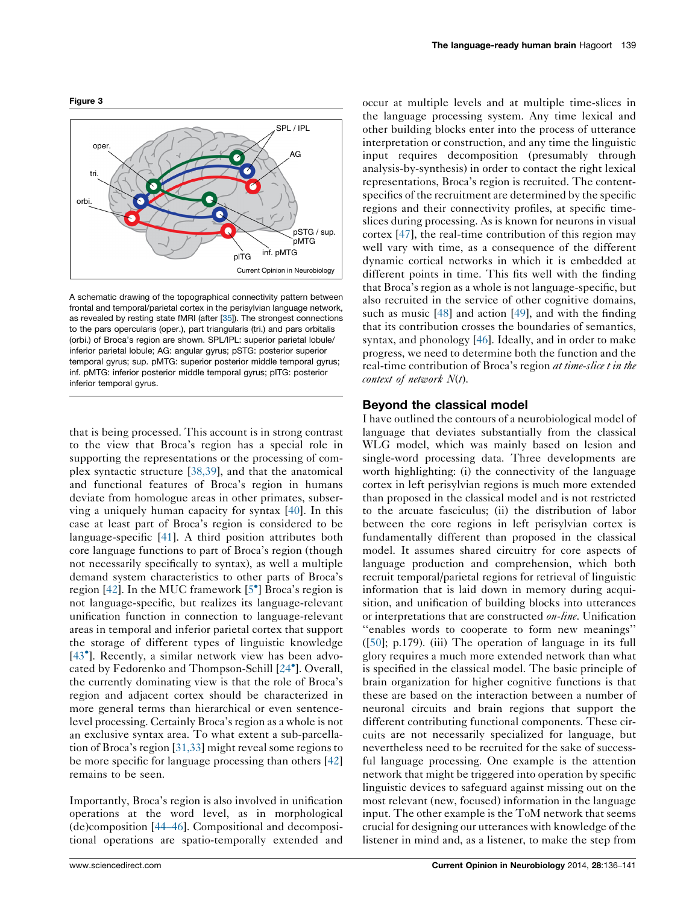<span id="page-3-0"></span>

A schematic drawing of the topographical connectivity pattern between frontal and temporal/parietal cortex in the perisylvian language network, as revealed by resting state fMRI (after [\[35\]](#page-5-0)). The strongest connections to the pars opercularis (oper.), part triangularis (tri.) and pars orbitalis (orbi.) of Broca's region are shown. SPL/IPL: superior parietal lobule/ inferior parietal lobule; AG: angular gyrus; pSTG: posterior superior temporal gyrus; sup. pMTG: superior posterior middle temporal gyrus; inf. pMTG: inferior posterior middle temporal gyrus; pITG: posterior inferior temporal gyrus.

that is being processed. This account is in strong contrast to the view that Broca's region has a special role in supporting the representations or the processing of complex syntactic structure [[38,39](#page-5-0)], and that the anatomical and functional features of Broca's region in humans deviate from homologue areas in other primates, subserving a uniquely human capacity for syntax [\[40](#page-5-0)]. In this case at least part of Broca's region is considered to be language-specific [[41\]](#page-5-0). A third position attributes both core language functions to part of Broca's region (though not necessarily specifically to syntax), as well a multiple demand system characteristics to other parts of Broca's region [\[42](#page-5-0)]. In the MUC framework [[5](#page-4-0)<sup>°</sup>] Broca's region is not language-specific, but realizes its language-relevant unification function in connection to language-relevant areas in temporal and inferior parietal cortex that support the storage of different types of linguistic knowledge [\[43](#page-5-0)<sup>\*</sup>]. Recently, a similar network view has been advo-cated by Fedorenko and Thompson-Schill [\[24](#page-4-0)°]. Overall, the currently dominating view is that the role of Broca's region and adjacent cortex should be characterized in more general terms than hierarchical or even sentencelevel processing. Certainly Broca's region as a whole is not an exclusive syntax area. To what extent a sub-parcellation of Broca's region [\[31,33\]](#page-5-0) might reveal some regions to be more specific for language processing than others [[42\]](#page-5-0) remains to be seen.

Importantly, Broca's region is also involved in unification operations at the word level, as in morphological (de)composition [44–[46\]](#page-5-0). Compositional and decompositional operations are spatio-temporally extended and

occur at multiple levels and at multiple time-slices in the language processing system. Any time lexical and other building blocks enter into the process of utterance interpretation or construction, and any time the linguistic input requires decomposition (presumably through analysis-by-synthesis) in order to contact the right lexical representations, Broca's region is recruited. The contentspecifics of the recruitment are determined by the specific regions and their connectivity profiles, at specific timeslices during processing. As is known for neurons in visual cortex [\[47](#page-5-0)], the real-time contribution of this region may well vary with time, as a consequence of the different dynamic cortical networks in which it is embedded at different points in time. This fits well with the finding that Broca's region as a whole is not language-specific, but also recruited in the service of other cognitive domains, such as music [[48\]](#page-5-0) and action [[49](#page-5-0)], and with the finding that its contribution crosses the boundaries of semantics, syntax, and phonology [\[46](#page-5-0)]. Ideally, and in order to make progress, we need to determine both the function and the real-time contribution of Broca's region at time-slice t in the context of network  $N(t)$ .

### Beyond the classical model

I have outlined the contours of a neurobiological model of language that deviates substantially from the classical WLG model, which was mainly based on lesion and single-word processing data. Three developments are worth highlighting: (i) the connectivity of the language cortex in left perisylvian regions is much more extended than proposed in the classical model and is not restricted to the arcuate fasciculus; (ii) the distribution of labor between the core regions in left perisylvian cortex is fundamentally different than proposed in the classical model. It assumes shared circuitry for core aspects of language production and comprehension, which both recruit temporal/parietal regions for retrieval of linguistic information that is laid down in memory during acquisition, and unification of building blocks into utterances or interpretations that are constructed on-line. Unification ''enables words to cooperate to form new meanings'' ([[50\]](#page-5-0); p.179). (iii) The operation of language in its full glory requires a much more extended network than what is specified in the classical model. The basic principle of brain organization for higher cognitive functions is that these are based on the interaction between a number of neuronal circuits and brain regions that support the different contributing functional components. These circuits are not necessarily specialized for language, but nevertheless need to be recruited for the sake of successful language processing. One example is the attention network that might be triggered into operation by specific linguistic devices to safeguard against missing out on the most relevant (new, focused) information in the language input. The other example is the ToM network that seems crucial for designing our utterances with knowledge of the listener in mind and, as a listener, to make the step from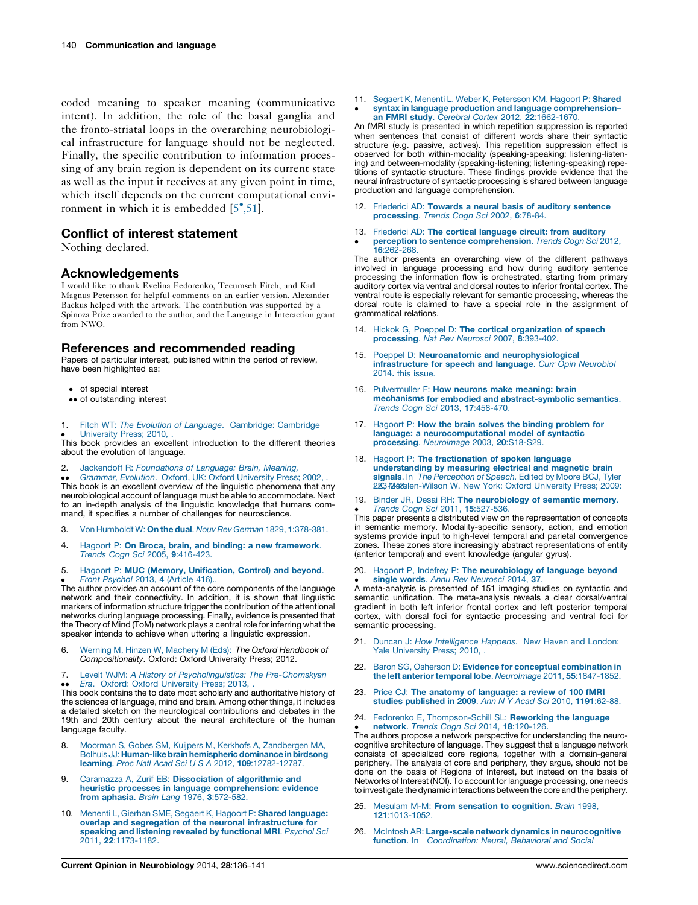<span id="page-4-0"></span>coded meaning to speaker meaning (communicative intent). In addition, the role of the basal ganglia and the fronto-striatal loops in the overarching neurobiological infrastructure for language should not be neglected. Finally, the specific contribution to information processing of any brain region is dependent on its current state as well as the input it receives at any given point in time, which itself depends on the current computational environment in which it is embedded  $[5^{\bullet}, 51]$ .

# Conflict of interest statement

Nothing declared.

## Acknowledgements

I would like to thank Evelina Fedorenko, Tecumseh Fitch, and Karl Magnus Petersson for helpful comments on an earlier version. Alexander Backus helped with the artwork. The contribution was supported by a Spinoza Prize awarded to the author, and the Language in Interaction grant from NWO.

## References and recommended reading

Papers of particular interest, published within the period of review, have been highlighted as:

- of special interest
- •• of outstanding interest
- 1. Fitch WT: The Evolution of Language. [Cambridge:](http://refhub.elsevier.com/S0959-4388(14)00141-X/sbref0005) Cambridge [University](http://refhub.elsevier.com/S0959-4388(14)00141-X/sbref0005) Press: 2010.

- This book provides an excellent introduction to the different theories about the evolution of language.

2. Jackendoff R: [Foundations](http://refhub.elsevier.com/S0959-4388(14)00141-X/sbref0010) of Language: Brain, Meaning,

●● Grammar, Evolution. Oxford, UK: Oxford University Press; 2002, .<br>This book is an excellent overview of the linguistic phenomena that any [Grammar,](http://refhub.elsevier.com/S0959-4388(14)00141-X/sbref0010) Evolution. Oxford, UK: Oxford University Press; 2002, . neurobiological account of language must be able to accommodate. Next to an in-depth analysis of the linguistic knowledge that humans command, it specifies a number of challenges for neuroscience.

- 3. Von [Humboldt](http://refhub.elsevier.com/S0959-4388(14)00141-X/sbref0015) W: On the dual. Nouv Rev German 1829, 1:378-381.
- 4. Hagoort P: On Broca, brain, and binding: a new [framework](http://refhub.elsevier.com/S0959-4388(14)00141-X/sbref0020). Trends Cogn Sci 2005, 9[:416-423.](http://refhub.elsevier.com/S0959-4388(14)00141-X/sbref0020)
- 5. Hagoort P: MUC (Memory, [Unification,](http://refhub.elsevier.com/S0959-4388(14)00141-X/sbref0025) Control) and beyond. Front [Psychol](http://refhub.elsevier.com/S0959-4388(14)00141-X/sbref0025) 2013, 4 (Article 416)..

- The author provides an account of the core components of the language network and their connectivity. In addition, it is shown that linguistic markers of information structure trigger the contribution of the attentional networks during language processing. Finally, evidence is presented that the Theory of Mind (ToM) network plays a central role for inferring what the speaker intends to achieve when uttering a linguistic expression.

- 6. Werning M, Hinzen W, Machery M (Eds): The Oxford [Handbook](http://refhub.elsevier.com/S0959-4388(14)00141-X/sbref0030) of [Compositionality](http://refhub.elsevier.com/S0959-4388(14)00141-X/sbref0030). Oxford: Oxford University Press; 2012.
- 7. Levelt WJM: A History of [Psycholinguistics:](http://refhub.elsevier.com/S0959-4388(14)00141-X/sbref0035) The Pre-Chomskyan Era. Oxford: Oxford [University](http://refhub.elsevier.com/S0959-4388(14)00141-X/sbref0035) Press; 2013,

•• *Era.* Oxford: Oxford University Press; 2013, .<br>This book contains the to date most scholarly and authoritative history of the sciences of language, mind and brain. Among other things, it includes a detailed sketch on the neurological contributions and debates in the 19th and 20th century about the neural architecture of the human language faculty.

- 8. Moorman S, Gobes SM, Kuijpers M, Kerkhofs A, [Zandbergen](http://refhub.elsevier.com/S0959-4388(14)00141-X/sbref0040) MA, Bolhuis JJ: Human-like brain [hemispheric](http://refhub.elsevier.com/S0959-4388(14)00141-X/sbref0040) dominance in birdsong learning. Proc Natl Acad Sci U S A 2012, 109[:12782-12787.](http://refhub.elsevier.com/S0959-4388(14)00141-X/sbref0040)
- 9. Caramazza A, Zurif EB: [Dissociation](http://refhub.elsevier.com/S0959-4388(14)00141-X/sbref0045) of algorithmic and heuristic processes in language [comprehension:](http://refhub.elsevier.com/S0959-4388(14)00141-X/sbref0045) evidence from aphasia. Brain Lang 1976, 3[:572-582.](http://refhub.elsevier.com/S0959-4388(14)00141-X/sbref0045)
- 10. Menenti L, Gierhan SME, Segaert K, Hagoort P: Shared [language:](http://refhub.elsevier.com/S0959-4388(14)00141-X/sbref0050) overlap and segregation of the neuronal [infrastructure](http://refhub.elsevier.com/S0959-4388(14)00141-X/sbref0050) for speaking and listening revealed by [functional](http://refhub.elsevier.com/S0959-4388(14)00141-X/sbref0050) MRI. Psychol Sci 2011, 22[:1173-1182.](http://refhub.elsevier.com/S0959-4388(14)00141-X/sbref0050)

11. Segaert K, Menenti L, Weber K, [Petersson](http://refhub.elsevier.com/S0959-4388(14)00141-X/sbref0055) KM, Hagoort P: Shared syntax in language production and language [comprehension–](http://refhub.elsevier.com/S0959-4388(14)00141-X/sbref0055) an FMRI study. Cerebral Cortex 2012, 22[:1662-1670.](http://refhub.elsevier.com/S0959-4388(14)00141-X/sbref0055)

An fMRI study is presented in which repetition suppression is reported when sentences that consist of different words share their syntactic structure (e.g. passive, actives). This repetition suppression effect is observed for both within-modality (speaking-speaking; listening-listening) and between-modality (speaking-listening; listening-speaking) repetitions of syntactic structure. These findings provide evidence that the neural infrastructure of syntactic processing is shared between language production and language comprehension.

- 12. Friederici AD: Towards a neural basis of auditory [sentence](http://refhub.elsevier.com/S0959-4388(14)00141-X/sbref0060) [processing](http://refhub.elsevier.com/S0959-4388(14)00141-X/sbref0060). Trends Cogn Sci 2002, 6:78-84.
- 13. Friederici AD: The cortical [language](http://refhub.elsevier.com/S0959-4388(14)00141-X/sbref0065) circuit: from auditory perception to sentence [comprehension](http://refhub.elsevier.com/S0959-4388(14)00141-X/sbref0065). Trends Cogn Sci 2012, 16[:262-268.](http://refhub.elsevier.com/S0959-4388(14)00141-X/sbref0065)

The author presents an overarching view of the different pathways involved in language processing and how during auditory sentence processing the information flow is orchestrated, starting from primary auditory cortex via ventral and dorsal routes to inferior frontal cortex. The ventral route is especially relevant for semantic processing, whereas the dorsal route is claimed to have a special role in the assignment of grammatical relations.

- 14. Hickok G, Poeppel D: The cortical [organization](http://refhub.elsevier.com/S0959-4388(14)00141-X/sbref0070) of speech [processing](http://refhub.elsevier.com/S0959-4388(14)00141-X/sbref0070). Nat Rev Neurosci 2007, 8:393-402.
- 15. Poeppel D: Neuroanatomic and [neurophysiological](http://refhub.elsevier.com/S0959-4388(14)00141-X/sbref0075) [infrastructure](http://refhub.elsevier.com/S0959-4388(14)00141-X/sbref0075) for speech and language. Curr Opin Neurobiol 2014. this [issue.](http://refhub.elsevier.com/S0959-4388(14)00141-X/sbref0075)
- 16. [Pulvermuller](http://refhub.elsevier.com/S0959-4388(14)00141-X/sbref0080) F: How neurons make meaning: brain mechanisms for embodied and [abstract-symbolic](http://refhub.elsevier.com/S0959-4388(14)00141-X/sbref0080) semantics. Trends Cogn Sci 2013, 17[:458-470.](http://refhub.elsevier.com/S0959-4388(14)00141-X/sbref0080)
- 17. Hagoort P: How the brain solves the binding [problem](http://refhub.elsevier.com/S0959-4388(14)00141-X/sbref0085) for language: a [neurocomputational](http://refhub.elsevier.com/S0959-4388(14)00141-X/sbref0085) model of syntactic processing. [Neuroimage](http://refhub.elsevier.com/S0959-4388(14)00141-X/sbref0085) 2003, 20:S18-S29.
- 18. Hagoort P: The [fractionation](http://refhub.elsevier.com/S0959-4388(14)00141-X/sbref0090) of spoken language [understanding](http://refhub.elsevier.com/S0959-4388(14)00141-X/sbref0090) by measuring electrical and magnetic brain<br>signals. In The [Perception](http://refhub.elsevier.com/S0959-4388(14)00141-X/sbref0090) of Speech. Edited by Moore BCJ, Tyler **PK3-M48slen-Wilson W. New York: Oxford University Press; 2009:**
- 19. Binder JR, Desai RH: The [neurobiology](http://refhub.elsevier.com/S0959-4388(14)00141-X/sbref0095) of semantic memory. Trends Cogn Sci 2011, 15[:527-536.](http://refhub.elsevier.com/S0959-4388(14)00141-X/sbref0095)

- This paper presents a distributed view on the representation of concepts in semantic memory. Modality-specific sensory, action, and emotion systems provide input to high-level temporal and parietal convergence zones. These zones store increasingly abstract representations of entity (anterior temporal) and event knowledge (angular gyrus).

20. Hagoort P, Indefrey P: The [neurobiology](http://refhub.elsevier.com/S0959-4388(14)00141-X/sbref0100) of language beyond single words. Annu Rev [Neurosci](http://refhub.elsevier.com/S0959-4388(14)00141-X/sbref0100) 2014, 37.

**• single words**. Annu Rev Neurosci 2014, 37.<br>A meta-analysis is presented of 151 imaging studies on syntactic and semantic unification. The meta-analysis reveals a clear dorsal/ventral gradient in both left inferior frontal cortex and left posterior temporal cortex, with dorsal foci for syntactic processing and ventral foci for semantic processing.

- 21. Duncan J: How [Intelligence](http://refhub.elsevier.com/S0959-4388(14)00141-X/sbref0105) Happens. New Haven and London: Yale [University](http://refhub.elsevier.com/S0959-4388(14)00141-X/sbref0105) Press; 2010,
- 22. Baron SG, Osherson D: Evidence for conceptual [combination](http://refhub.elsevier.com/S0959-4388(14)00141-X/sbref0110) in the left anterior temporal lobe. NeuroImage 2011, 55:1847-1852.
- 23. Price CJ: The anatomy of [language:](http://refhub.elsevier.com/S0959-4388(14)00141-X/sbref0115) a review of 100 fMRI studies [published](http://refhub.elsevier.com/S0959-4388(14)00141-X/sbref0115) in 2009. Ann N Y Acad Sci 2010, 1191:62-88.
- 24. Fedorenko E, [Thompson-Schill](http://refhub.elsevier.com/S0959-4388(14)00141-X/sbref0120) SL: Reworking the language network. Trends Cogn Sci 2014, 18[:120-126.](http://refhub.elsevier.com/S0959-4388(14)00141-X/sbref0120)

**• network**. Trends Cogn Sci 2014, 18:120-126.<br>The authors propose a network perspective for understanding the neurocognitive architecture of language. They suggest that a language network consists of specialized core regions, together with a domain-general periphery. The analysis of core and periphery, they argue, should not be done on the basis of Regions of Interest, but instead on the basis of Networks of Interest (NOI). To account for language processing, one needs to investigate the dynamic interactions between the core and the periphery.

- 25. Mesulam M-M: From [sensation](http://refhub.elsevier.com/S0959-4388(14)00141-X/sbref0125) to cognition. Brain 1998, 121[:1013-1052.](http://refhub.elsevier.com/S0959-4388(14)00141-X/sbref0125)
- 26. McIntosh AR: Large-scale network dynamics in [neurocognitive](http://refhub.elsevier.com/S0959-4388(14)00141-X/sbref0130) function. In [Coordination:](http://refhub.elsevier.com/S0959-4388(14)00141-X/sbref0130) Neural, Behavioral and Social